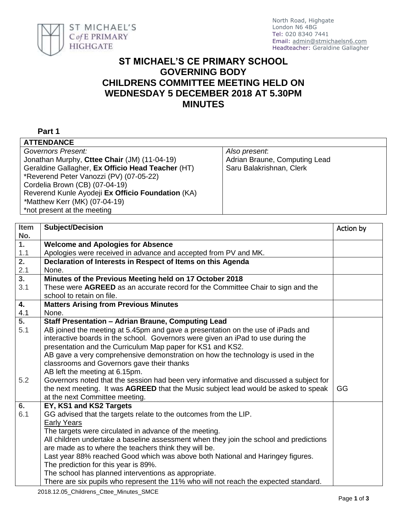

## **ST MICHAEL'S CE PRIMARY SCHOOL GOVERNING BODY CHILDRENS COMMITTEE MEETING HELD ON WEDNESDAY 5 DECEMBER 2018 AT 5.30PM MINUTES**

## **Part 1**

| <b>ATTENDANCE</b>                                 |                               |  |  |
|---------------------------------------------------|-------------------------------|--|--|
| Governors Present:                                | Also present.                 |  |  |
| Jonathan Murphy, Cttee Chair (JM) (11-04-19)      | Adrian Braune, Computing Lead |  |  |
| Geraldine Gallagher, Ex Officio Head Teacher (HT) | Saru Balakrishnan, Clerk      |  |  |
| *Reverend Peter Vanozzi (PV) (07-05-22)           |                               |  |  |
| Cordelia Brown (CB) (07-04-19)                    |                               |  |  |
| Reverend Kunle Ayodeji Ex Officio Foundation (KA) |                               |  |  |
| *Matthew Kerr (MK) (07-04-19)                     |                               |  |  |
| *not present at the meeting                       |                               |  |  |
|                                                   |                               |  |  |

| <b>Item</b>      | <b>Subject/Decision</b>                                                                | Action by |
|------------------|----------------------------------------------------------------------------------------|-----------|
| No.              |                                                                                        |           |
| $\overline{1}$ . | <b>Welcome and Apologies for Absence</b>                                               |           |
| 1.1              | Apologies were received in advance and accepted from PV and MK.                        |           |
| 2.               | Declaration of Interests in Respect of Items on this Agenda                            |           |
| 2.1              | None.                                                                                  |           |
| $\overline{3}$ . | Minutes of the Previous Meeting held on 17 October 2018                                |           |
| 3.1              | These were AGREED as an accurate record for the Committee Chair to sign and the        |           |
|                  | school to retain on file.                                                              |           |
| 4.               | <b>Matters Arising from Previous Minutes</b>                                           |           |
| 4.1              | None.                                                                                  |           |
| $\overline{5}$ . | <b>Staff Presentation - Adrian Braune, Computing Lead</b>                              |           |
| 5.1              | AB joined the meeting at 5.45pm and gave a presentation on the use of iPads and        |           |
|                  | interactive boards in the school. Governors were given an iPad to use during the       |           |
|                  | presentation and the Curriculum Map paper for KS1 and KS2.                             |           |
|                  | AB gave a very comprehensive demonstration on how the technology is used in the        |           |
|                  | classrooms and Governors gave their thanks                                             |           |
|                  | AB left the meeting at 6.15pm.                                                         |           |
| 5.2              | Governors noted that the session had been very informative and discussed a subject for |           |
|                  | the next meeting. It was AGREED that the Music subject lead would be asked to speak    | GG        |
|                  | at the next Committee meeting.                                                         |           |
| 6.               | EY, KS1 and KS2 Targets                                                                |           |
| 6.1              | GG advised that the targets relate to the outcomes from the LIP.                       |           |
|                  | <b>Early Years</b>                                                                     |           |
|                  | The targets were circulated in advance of the meeting.                                 |           |
|                  | All children undertake a baseline assessment when they join the school and predictions |           |
|                  | are made as to where the teachers think they will be.                                  |           |
|                  | Last year 88% reached Good which was above both National and Haringey figures.         |           |
|                  | The prediction for this year is 89%.                                                   |           |
|                  | The school has planned interventions as appropriate.                                   |           |
|                  | There are six pupils who represent the 11% who will not reach the expected standard.   |           |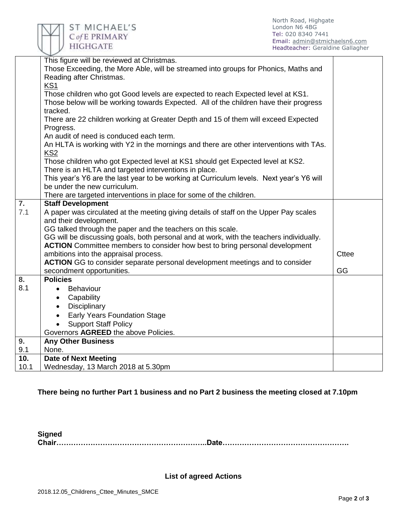

|                           | This figure will be reviewed at Christmas.<br>Those Exceeding, the More Able, will be streamed into groups for Phonics, Maths and       |              |
|---------------------------|-----------------------------------------------------------------------------------------------------------------------------------------|--------------|
|                           | Reading after Christmas.                                                                                                                |              |
|                           | <b>KS1</b><br>Those children who got Good levels are expected to reach Expected level at KS1.                                           |              |
|                           | Those below will be working towards Expected. All of the children have their progress<br>tracked.                                       |              |
|                           | There are 22 children working at Greater Depth and 15 of them will exceed Expected<br>Progress.                                         |              |
|                           | An audit of need is conduced each term.                                                                                                 |              |
|                           | An HLTA is working with Y2 in the mornings and there are other interventions with TAs.<br>KS2                                           |              |
|                           | Those children who got Expected level at KS1 should get Expected level at KS2.<br>There is an HLTA and targeted interventions in place. |              |
|                           | This year's Y6 are the last year to be working at Curriculum levels. Next year's Y6 will                                                |              |
|                           | be under the new curriculum.                                                                                                            |              |
|                           | There are targeted interventions in place for some of the children.                                                                     |              |
| $\overline{7}$ .          | <b>Staff Development</b>                                                                                                                |              |
| 7.1                       | A paper was circulated at the meeting giving details of staff on the Upper Pay scales<br>and their development.                         |              |
|                           | GG talked through the paper and the teachers on this scale.                                                                             |              |
|                           | GG will be discussing goals, both personal and at work, with the teachers individually.                                                 |              |
|                           | <b>ACTION</b> Committee members to consider how best to bring personal development                                                      |              |
|                           | ambitions into the appraisal process.                                                                                                   | <b>Cttee</b> |
|                           | <b>ACTION</b> GG to consider separate personal development meetings and to consider                                                     |              |
|                           | secondment opportunities.                                                                                                               | GG           |
| $\overline{\mathbf{8}}$ . | <b>Policies</b>                                                                                                                         |              |
| 8.1                       | Behaviour<br>$\bullet$                                                                                                                  |              |
|                           | Capability<br>$\bullet$                                                                                                                 |              |
|                           | Disciplinary<br>$\bullet$                                                                                                               |              |
|                           | <b>Early Years Foundation Stage</b><br>$\bullet$                                                                                        |              |
|                           | <b>Support Staff Policy</b>                                                                                                             |              |
|                           | Governors AGREED the above Policies.                                                                                                    |              |
| 9.                        | <b>Any Other Business</b>                                                                                                               |              |
| 9.1                       | None.                                                                                                                                   |              |
| 10.                       | <b>Date of Next Meeting</b>                                                                                                             |              |
| 10.1                      | Wednesday, 13 March 2018 at 5.30pm                                                                                                      |              |

**There being no further Part 1 business and no Part 2 business the meeting closed at 7.10pm**

**Signed Chair……………………………………………………..Date…………………………………………….**

**List of agreed Actions**